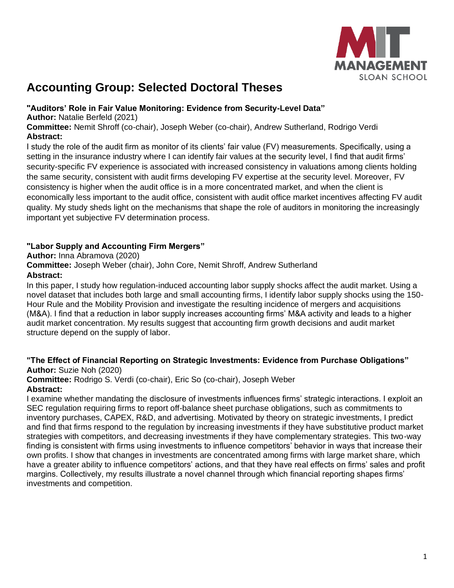

# **Accounting Group: Selected Doctoral Theses**

#### **"Auditors' Role in Fair Value Monitoring: Evidence from Security-Level Data"**

**Author:** Natalie Berfeld (2021)

**Committee:** Nemit Shroff (co-chair), Joseph Weber (co-chair), Andrew Sutherland, Rodrigo Verdi **Abstract:**

I study the role of the audit firm as monitor of its clients' fair value (FV) measurements. Specifically, using a setting in the insurance industry where I can identify fair values at the security level, I find that audit firms' security-specific FV experience is associated with increased consistency in valuations among clients holding the same security, consistent with audit firms developing FV expertise at the security level. Moreover, FV consistency is higher when the audit office is in a more concentrated market, and when the client is economically less important to the audit office, consistent with audit office market incentives affecting FV audit quality. My study sheds light on the mechanisms that shape the role of auditors in monitoring the increasingly important yet subjective FV determination process.

### **"Labor Supply and Accounting Firm Mergers"**

**Author:** Inna Abramova (2020)

**Committee:** Joseph Weber (chair), John Core, Nemit Shroff, Andrew Sutherland

**Abstract:**

In this paper, I study how regulation-induced accounting labor supply shocks affect the audit market. Using a novel dataset that includes both large and small accounting firms, I identify labor supply shocks using the 150- Hour Rule and the Mobility Provision and investigate the resulting incidence of mergers and acquisitions (M&A). I find that a reduction in labor supply increases accounting firms' M&A activity and leads to a higher audit market concentration. My results suggest that accounting firm growth decisions and audit market structure depend on the supply of labor.

#### **"The Effect of Financial Reporting on Strategic Investments: Evidence from Purchase Obligations" Author:** Suzie Noh (2020)

#### **Committee:** Rodrigo S. Verdi (co-chair), Eric So (co-chair), Joseph Weber **Abstract:**

I examine whether mandating the disclosure of investments influences firms' strategic interactions. I exploit an SEC regulation requiring firms to report off-balance sheet purchase obligations, such as commitments to inventory purchases, CAPEX, R&D, and advertising. Motivated by theory on strategic investments, I predict and find that firms respond to the regulation by increasing investments if they have substitutive product market strategies with competitors, and decreasing investments if they have complementary strategies. This two-way finding is consistent with firms using investments to influence competitors' behavior in ways that increase their own profits. I show that changes in investments are concentrated among firms with large market share, which have a greater ability to influence competitors' actions, and that they have real effects on firms' sales and profit margins. Collectively, my results illustrate a novel channel through which financial reporting shapes firms' investments and competition.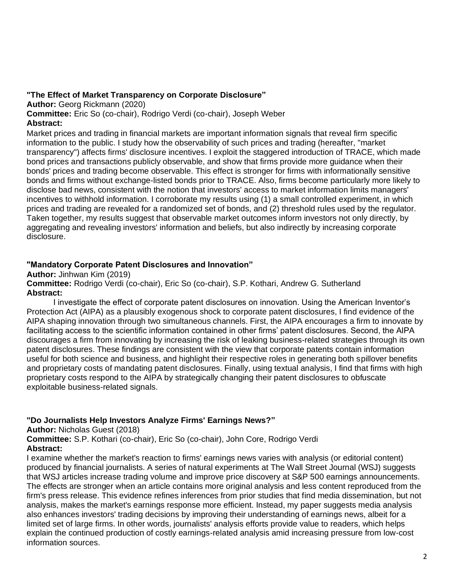#### **"The Effect of Market Transparency on Corporate Disclosure"**

**Author:** Georg Rickmann (2020)

**Committee:** Eric So (co-chair), Rodrigo Verdi (co-chair), Joseph Weber **Abstract:** 

Market prices and trading in financial markets are important information signals that reveal firm specific information to the public. I study how the observability of such prices and trading (hereafter, "market transparency") affects firms' disclosure incentives. I exploit the staggered introduction of TRACE, which made bond prices and transactions publicly observable, and show that firms provide more guidance when their bonds' prices and trading become observable. This effect is stronger for firms with informationally sensitive bonds and firms without exchange-listed bonds prior to TRACE. Also, firms become particularly more likely to disclose bad news, consistent with the notion that investors' access to market information limits managers' incentives to withhold information. I corroborate my results using (1) a small controlled experiment, in which prices and trading are revealed for a randomized set of bonds, and (2) threshold rules used by the regulator. Taken together, my results suggest that observable market outcomes inform investors not only directly, by aggregating and revealing investors' information and beliefs, but also indirectly by increasing corporate disclosure.

#### **"Mandatory Corporate Patent Disclosures and Innovation"**

**Author:** Jinhwan Kim (2019)

**Committee:** Rodrigo Verdi (co-chair), Eric So (co-chair), S.P. Kothari, Andrew G. Sutherland **Abstract:**

I investigate the effect of corporate patent disclosures on innovation. Using the American Inventor's Protection Act (AIPA) as a plausibly exogenous shock to corporate patent disclosures, I find evidence of the AIPA shaping innovation through two simultaneous channels. First, the AIPA encourages a firm to innovate by facilitating access to the scientific information contained in other firms' patent disclosures. Second, the AIPA discourages a firm from innovating by increasing the risk of leaking business-related strategies through its own patent disclosures. These findings are consistent with the view that corporate patents contain information useful for both science and business, and highlight their respective roles in generating both spillover benefits and proprietary costs of mandating patent disclosures. Finally, using textual analysis, I find that firms with high proprietary costs respond to the AIPA by strategically changing their patent disclosures to obfuscate exploitable business-related signals.

#### **"Do Journalists Help Investors Analyze Firms' Earnings News?"**

**Author:** Nicholas Guest (2018)

**Committee:** S.P. Kothari (co-chair), Eric So (co-chair), John Core, Rodrigo Verdi **Abstract:**

I examine whether the market's reaction to firms' earnings news varies with analysis (or editorial content) produced by financial journalists. A series of natural experiments at The Wall Street Journal (WSJ) suggests that WSJ articles increase trading volume and improve price discovery at S&P 500 earnings announcements. The effects are stronger when an article contains more original analysis and less content reproduced from the firm's press release. This evidence refines inferences from prior studies that find media dissemination, but not analysis, makes the market's earnings response more efficient. Instead, my paper suggests media analysis also enhances investors' trading decisions by improving their understanding of earnings news, albeit for a limited set of large firms. In other words, journalists' analysis efforts provide value to readers, which helps explain the continued production of costly earnings-related analysis amid increasing pressure from low-cost information sources.